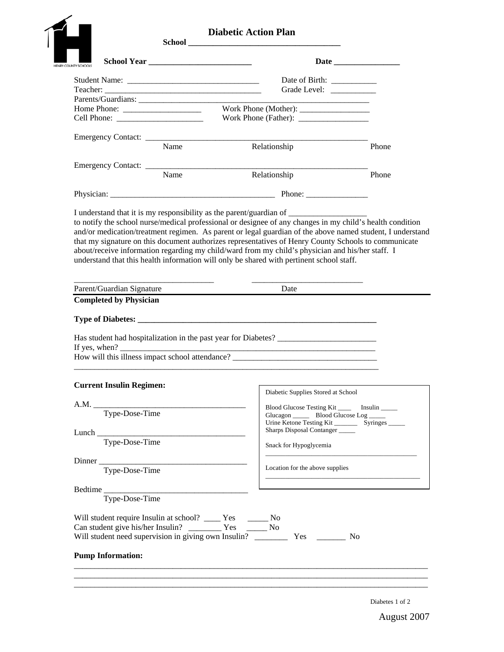|                                                              | <b>Diabetic Action Plan</b>                                                              |       |
|--------------------------------------------------------------|------------------------------------------------------------------------------------------|-------|
| HENRY COUNTY SCHOOLS                                         |                                                                                          |       |
|                                                              | Grade Level: ____________                                                                |       |
|                                                              | Parents/Guardians:                                                                       |       |
|                                                              |                                                                                          |       |
|                                                              |                                                                                          |       |
|                                                              |                                                                                          |       |
|                                                              | Emergency Contact: Name Relationship                                                     | Phone |
|                                                              |                                                                                          |       |
|                                                              | Emergency Contact: Name Relationship                                                     |       |
|                                                              | Relationship                                                                             | Phone |
|                                                              |                                                                                          |       |
|                                                              | I understand that it is my responsibility as the parent/guardian of                      |       |
|                                                              | understand that this health information will only be shared with pertinent school staff. |       |
| Parent/Guardian Signature                                    | Date                                                                                     |       |
| <b>Completed by Physician</b>                                |                                                                                          |       |
|                                                              |                                                                                          |       |
|                                                              |                                                                                          |       |
| <b>Current Insulin Regimen:</b>                              |                                                                                          |       |
|                                                              | Diabetic Supplies Stored at School                                                       |       |
| A.M.                                                         | Blood Glucose Testing Kit ________ Insulin ______                                        |       |
| Type-Dose-Time                                               | Glucagon _________ Blood Glucose Log ______                                              |       |
|                                                              | Sharps Disposal Contanger                                                                |       |
| Type-Dose-Time                                               | Snack for Hypoglycemia                                                                   |       |
|                                                              | <u> 1989 - Johann John Harrison, martin basal</u>                                        |       |
| Dinner<br>Type-Dose-Time                                     | Location for the above supplies                                                          |       |
|                                                              | the control of the control of the control of the control of the control of               |       |
|                                                              |                                                                                          |       |
| Type-Dose-Time                                               |                                                                                          |       |
|                                                              |                                                                                          |       |
| Will student require Insulin at school? _____ Yes _______ No |                                                                                          |       |
|                                                              |                                                                                          |       |
| <b>Pump Information:</b>                                     |                                                                                          |       |

Diabetes 1 of 2